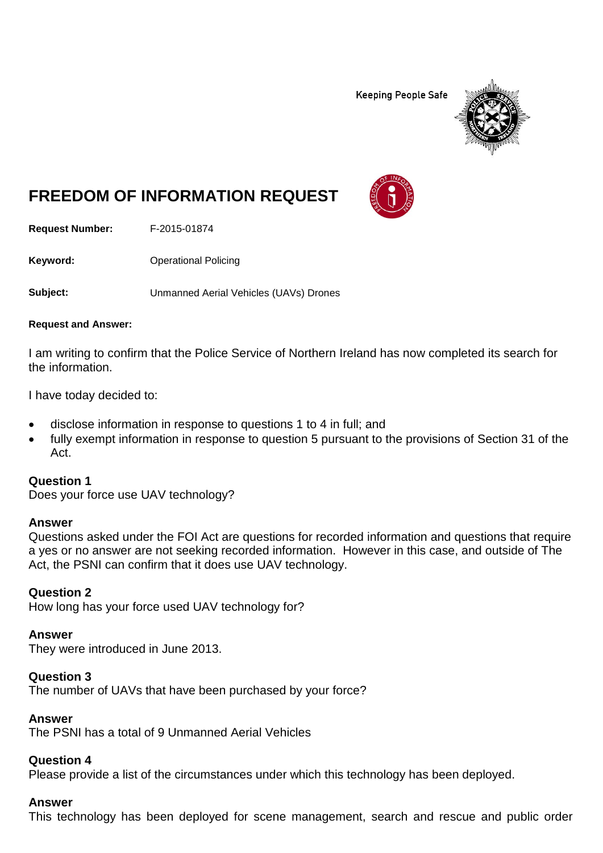**Keeping People Safe** 



# **FREEDOM OF INFORMATION REQUEST**

**Request Number:** F-2015-01874

**Keyword:** Operational Policing

**Subject:** Unmanned Aerial Vehicles (UAVs) Drones

#### **Request and Answer:**

I am writing to confirm that the Police Service of Northern Ireland has now completed its search for the information.

I have today decided to:

- disclose information in response to questions 1 to 4 in full; and
- fully exempt information in response to question 5 pursuant to the provisions of Section 31 of the Act.

#### **Question 1**

Does your force use UAV technology?

#### **Answer**

Questions asked under the FOI Act are questions for recorded information and questions that require a yes or no answer are not seeking recorded information. However in this case, and outside of The Act, the PSNI can confirm that it does use UAV technology.

## **Question 2**

How long has your force used UAV technology for?

#### **Answer**

They were introduced in June 2013.

## **Question 3**

The number of UAVs that have been purchased by your force?

## **Answer**

The PSNI has a total of 9 Unmanned Aerial Vehicles

#### **Question 4**

Please provide a list of the circumstances under which this technology has been deployed.

#### **Answer**

This technology has been deployed for scene management, search and rescue and public order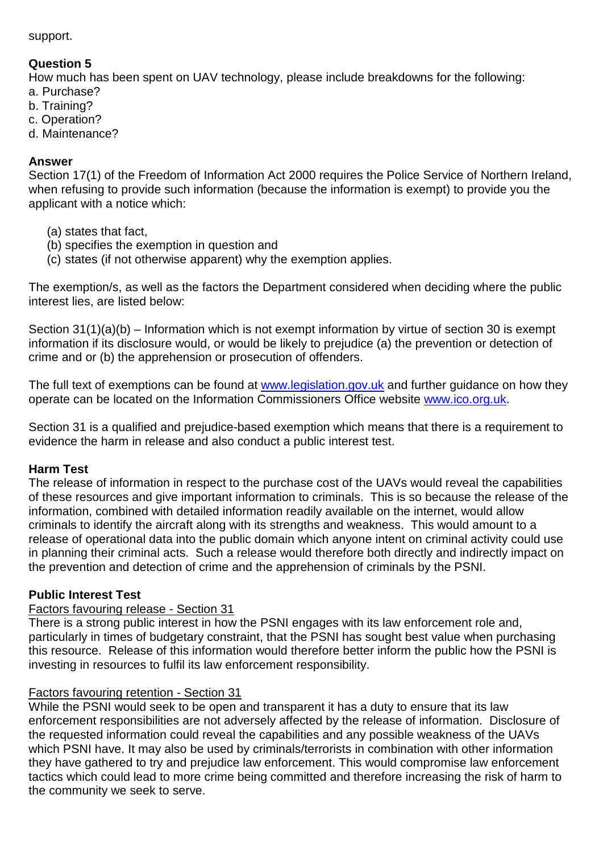support.

# **Question 5**

How much has been spent on UAV technology, please include breakdowns for the following: a. Purchase?

- b. Training?
- c. Operation?
- d. Maintenance?

## **Answer**

Section 17(1) of the Freedom of Information Act 2000 requires the Police Service of Northern Ireland, when refusing to provide such information (because the information is exempt) to provide you the applicant with a notice which:

- (a) states that fact,
- (b) specifies the exemption in question and
- (c) states (if not otherwise apparent) why the exemption applies.

The exemption/s, as well as the factors the Department considered when deciding where the public interest lies, are listed below:

Section 31(1)(a)(b) – Information which is not exempt information by virtue of section 30 is exempt information if its disclosure would, or would be likely to prejudice (a) the prevention or detection of crime and or (b) the apprehension or prosecution of offenders.

The full text of exemptions can be found at [www.legislation.gov.uk](http://www.legislation.gov.uk/) and further guidance on how they operate can be located on the Information Commissioners Office website [www.ico.org.uk.](http://www.ico.org.uk/)

Section 31 is a qualified and prejudice-based exemption which means that there is a requirement to evidence the harm in release and also conduct a public interest test.

# **Harm Test**

The release of information in respect to the purchase cost of the UAVs would reveal the capabilities of these resources and give important information to criminals. This is so because the release of the information, combined with detailed information readily available on the internet, would allow criminals to identify the aircraft along with its strengths and weakness. This would amount to a release of operational data into the public domain which anyone intent on criminal activity could use in planning their criminal acts. Such a release would therefore both directly and indirectly impact on the prevention and detection of crime and the apprehension of criminals by the PSNI.

# **Public Interest Test**

# Factors favouring release - Section 31

There is a strong public interest in how the PSNI engages with its law enforcement role and, particularly in times of budgetary constraint, that the PSNI has sought best value when purchasing this resource. Release of this information would therefore better inform the public how the PSNI is investing in resources to fulfil its law enforcement responsibility.

# Factors favouring retention - Section 31

While the PSNI would seek to be open and transparent it has a duty to ensure that its law enforcement responsibilities are not adversely affected by the release of information. Disclosure of the requested information could reveal the capabilities and any possible weakness of the UAVs which PSNI have. It may also be used by criminals/terrorists in combination with other information they have gathered to try and prejudice law enforcement. This would compromise law enforcement tactics which could lead to more crime being committed and therefore increasing the risk of harm to the community we seek to serve.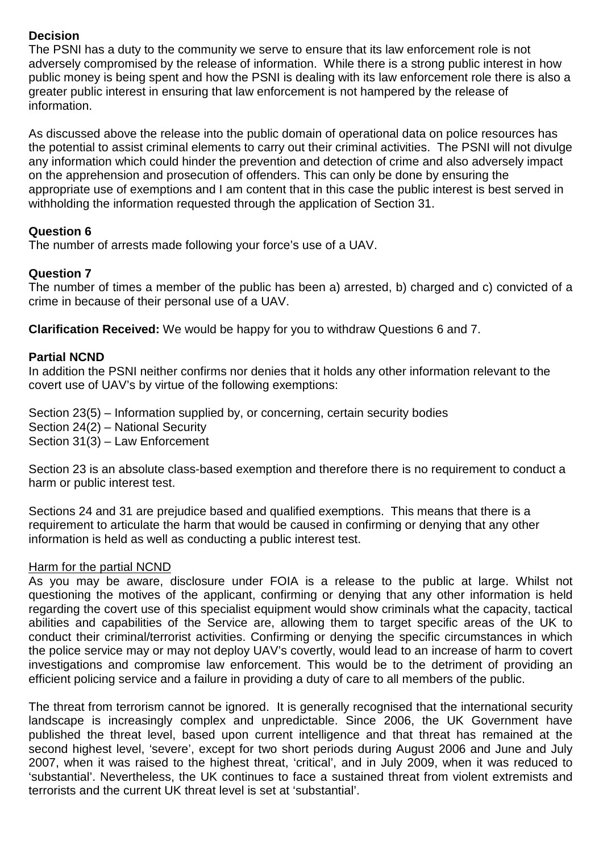# **Decision**

The PSNI has a duty to the community we serve to ensure that its law enforcement role is not adversely compromised by the release of information. While there is a strong public interest in how public money is being spent and how the PSNI is dealing with its law enforcement role there is also a greater public interest in ensuring that law enforcement is not hampered by the release of information.

As discussed above the release into the public domain of operational data on police resources has the potential to assist criminal elements to carry out their criminal activities. The PSNI will not divulge any information which could hinder the prevention and detection of crime and also adversely impact on the apprehension and prosecution of offenders. This can only be done by ensuring the appropriate use of exemptions and I am content that in this case the public interest is best served in withholding the information requested through the application of Section 31.

# **Question 6**

The number of arrests made following your force's use of a UAV.

# **Question 7**

The number of times a member of the public has been a) arrested, b) charged and c) convicted of a crime in because of their personal use of a UAV.

**Clarification Received:** We would be happy for you to withdraw Questions 6 and 7.

# **Partial NCND**

In addition the PSNI neither confirms nor denies that it holds any other information relevant to the covert use of UAV's by virtue of the following exemptions:

Section 23(5) – Information supplied by, or concerning, certain security bodies Section 24(2) – National Security Section 31(3) – Law Enforcement

Section 23 is an absolute class-based exemption and therefore there is no requirement to conduct a harm or public interest test.

Sections 24 and 31 are prejudice based and qualified exemptions. This means that there is a requirement to articulate the harm that would be caused in confirming or denying that any other information is held as well as conducting a public interest test.

# Harm for the partial NCND

As you may be aware, disclosure under FOIA is a release to the public at large. Whilst not questioning the motives of the applicant, confirming or denying that any other information is held regarding the covert use of this specialist equipment would show criminals what the capacity, tactical abilities and capabilities of the Service are, allowing them to target specific areas of the UK to conduct their criminal/terrorist activities. Confirming or denying the specific circumstances in which the police service may or may not deploy UAV's covertly, would lead to an increase of harm to covert investigations and compromise law enforcement. This would be to the detriment of providing an efficient policing service and a failure in providing a duty of care to all members of the public.

The threat from terrorism cannot be ignored. It is generally recognised that the international security landscape is increasingly complex and unpredictable. Since 2006, the UK Government have published the threat level, based upon current intelligence and that threat has remained at the second highest level, 'severe', except for two short periods during August 2006 and June and July 2007, when it was raised to the highest threat, 'critical', and in July 2009, when it was reduced to 'substantial'. Nevertheless, the UK continues to face a sustained threat from violent extremists and terrorists and the current UK threat level is set at 'substantial'.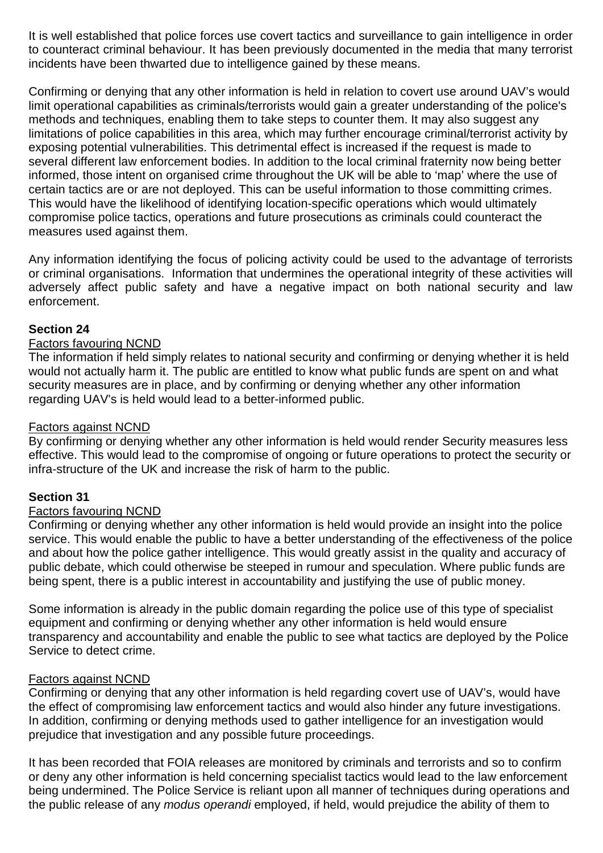It is well established that police forces use covert tactics and surveillance to gain intelligence in order to counteract criminal behaviour. It has been previously documented in the media that many terrorist incidents have been thwarted due to intelligence gained by these means.

Confirming or denying that any other information is held in relation to covert use around UAV's would limit operational capabilities as criminals/terrorists would gain a greater understanding of the police's methods and techniques, enabling them to take steps to counter them. It may also suggest any limitations of police capabilities in this area, which may further encourage criminal/terrorist activity by exposing potential vulnerabilities. This detrimental effect is increased if the request is made to several different law enforcement bodies. In addition to the local criminal fraternity now being better informed, those intent on organised crime throughout the UK will be able to 'map' where the use of certain tactics are or are not deployed. This can be useful information to those committing crimes. This would have the likelihood of identifying location-specific operations which would ultimately compromise police tactics, operations and future prosecutions as criminals could counteract the measures used against them.

Any information identifying the focus of policing activity could be used to the advantage of terrorists or criminal organisations. Information that undermines the operational integrity of these activities will adversely affect public safety and have a negative impact on both national security and law enforcement.

## **Section 24**

## Factors favouring NCND

The information if held simply relates to national security and confirming or denying whether it is held would not actually harm it. The public are entitled to know what public funds are spent on and what security measures are in place, and by confirming or denying whether any other information regarding UAV's is held would lead to a better-informed public.

## Factors against NCND

By confirming or denying whether any other information is held would render Security measures less effective. This would lead to the compromise of ongoing or future operations to protect the security or infra-structure of the UK and increase the risk of harm to the public.

## **Section 31**

## Factors favouring NCND

Confirming or denying whether any other information is held would provide an insight into the police service. This would enable the public to have a better understanding of the effectiveness of the police and about how the police gather intelligence. This would greatly assist in the quality and accuracy of public debate, which could otherwise be steeped in rumour and speculation. Where public funds are being spent, there is a public interest in accountability and justifying the use of public money.

Some information is already in the public domain regarding the police use of this type of specialist equipment and confirming or denying whether any other information is held would ensure transparency and accountability and enable the public to see what tactics are deployed by the Police Service to detect crime.

## Factors against NCND

Confirming or denying that any other information is held regarding covert use of UAV's, would have the effect of compromising law enforcement tactics and would also hinder any future investigations. In addition, confirming or denying methods used to gather intelligence for an investigation would prejudice that investigation and any possible future proceedings.

It has been recorded that FOIA releases are monitored by criminals and terrorists and so to confirm or deny any other information is held concerning specialist tactics would lead to the law enforcement being undermined. The Police Service is reliant upon all manner of techniques during operations and the public release of any *modus operandi* employed, if held, would prejudice the ability of them to